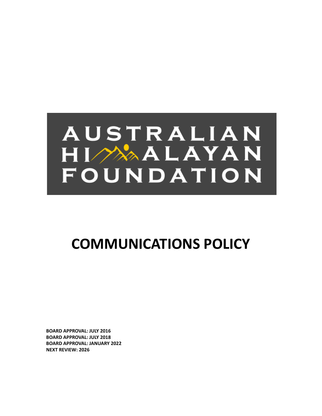# AUSTRALIAN  $H I \nightharpoonup \rightarrow A A L A Y A N$ FOUNDATION

## **COMMUNICATIONS POLICY**

**BOARD APPROVAL: JULY 2016 BOARD APPROVAL: JULY 2018 BOARD APPROVAL: JANUARY 2022 NEXT REVIEW: 2026**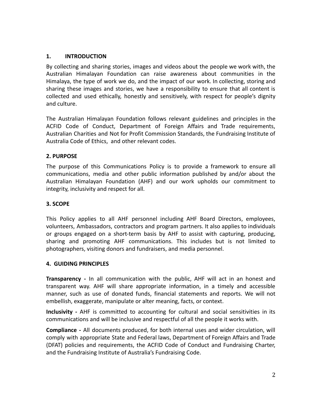#### **1. INTRODUCTION**

By collecting and sharing stories, images and videos about the people we work with, the Australian Himalayan Foundation can raise awareness about communities in the Himalaya, the type of work we do, and the impact of our work. In collecting, storing and sharing these images and stories, we have a responsibility to ensure that all content is collected and used ethically, honestly and sensitively, with respect for people's dignity and culture.

The Australian Himalayan Foundation follows relevant guidelines and principles in the ACFID Code of Conduct, Department of Foreign Affairs and Trade requirements, Australian Charities and Not for Profit Commission Standards, the Fundraising Institute of Australia Code of Ethics, and other relevant codes.

#### **2. PURPOSE**

The purpose of this Communications Policy is to provide a framework to ensure all communications, media and other public information published by and/or about the Australian Himalayan Foundation (AHF) and our work upholds our commitment to integrity, inclusivity and respect for all.

#### **3. SCOPE**

This Policy applies to all AHF personnel including AHF Board Directors, employees, volunteers, Ambassadors, contractors and program partners. It also applies to individuals or groups engaged on a short-term basis by AHF to assist with capturing, producing, sharing and promoting AHF communications. This includes but is not limited to photographers, visiting donors and fundraisers, and media personnel.

#### **4. GUIDING PRINCIPLES**

**Transparency -** In all communication with the public, AHF will act in an honest and transparent way. AHF will share appropriate information, in a timely and accessible manner, such as use of donated funds, financial statements and reports. We will not embellish, exaggerate, manipulate or alter meaning, facts, or context.

**Inclusivity -** AHF is committed to accounting for cultural and social sensitivities in its communications and will be inclusive and respectful of all the people it works with.

**Compliance -** All documents produced, for both internal uses and wider circulation, will comply with appropriate State and Federal laws, Department of Foreign Affairs and Trade (DFAT) policies and requirements, the ACFID Code of Conduct and Fundraising Charter, and the Fundraising Institute of Australia's Fundraising Code.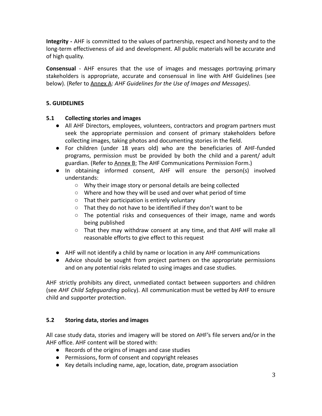**Integrity -** AHF is committed to the values of partnership, respect and honesty and to the long-term effectiveness of aid and development. All public materials will be accurate and of high quality.

**Consensual** - AHF ensures that the use of images and messages portraying primary stakeholders is appropriate, accurate and consensual in line with AHF Guidelines (see below). (Refer to Annex A: *AHF Guidelines for the Use of Images and Messages)*.

#### **5. GUIDELINES**

#### **5.1 Collecting stories and images**

- All AHF Directors, employees, volunteers, contractors and program partners must seek the appropriate permission and consent of primary stakeholders before collecting images, taking photos and documenting stories in the field.
- For children (under 18 years old) who are the beneficiaries of AHF-funded programs, permission must be provided by both the child and a parent/ adult guardian. (Refer to Annex B: The AHF Communications Permission Form.)
- In obtaining informed consent, AHF will ensure the person(s) involved understands:
	- Why their image story or personal details are being collected
	- Where and how they will be used and over what period of time
	- That their participation is entirely voluntary
	- That they do not have to be identified if they don't want to be
	- The potential risks and consequences of their image, name and words being published
	- That they may withdraw consent at any time, and that AHF will make all reasonable efforts to give effect to this request
- AHF will not identify a child by name or location in any AHF communications
- Advice should be sought from project partners on the appropriate permissions and on any potential risks related to using images and case studies.

AHF strictly prohibits any direct, unmediated contact between supporters and children (see *AHF Child Safeguarding* policy). All communication must be vetted by AHF to ensure child and supporter protection.

#### **5.2 Storing data, stories and images**

All case study data, stories and imagery will be stored on AHF's file servers and/or in the AHF office. AHF content will be stored with:

- Records of the origins of images and case studies
- Permissions, form of consent and copyright releases
- Key details including name, age, location, date, program association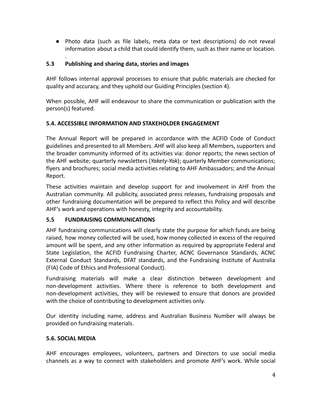● Photo data (such as file labels, meta data or text descriptions) do not reveal information about a child that could identify them, such as their name or location.

#### **5.3 Publishing and sharing data, stories and images**

.

AHF follows internal approval processes to ensure that public materials are checked for quality and accuracy, and they uphold our Guiding Principles (section 4).

When possible, AHF will endeavour to share the communication or publication with the person(s) featured.

#### **5.4. ACCESSIBLE INFORMATION AND STAKEHOLDER ENGAGEMENT**

The Annual Report will be prepared in accordance with the ACFID Code of Conduct guidelines and presented to all Members. AHF will also keep all Members, supporters and the broader community informed of its activities via: donor reports; the news section of the AHF website; quarterly newsletters (*Yakety-Yak*); quarterly Member communications; flyers and brochures; social media activities relating to AHF Ambassadors; and the Annual Report.

These activities maintain and develop support for and involvement in AHF from the Australian community. All publicity, associated press releases, fundraising proposals and other fundraising documentation will be prepared to reflect this Policy and will describe AHF's work and operations with honesty, integrity and accountability.

#### **5.5 FUNDRAISING COMMUNICATIONS**

AHF fundraising communications will clearly state the purpose for which funds are being raised, how money collected will be used, how money collected in excess of the required amount will be spent, and any other information as required by appropriate Federal and State Legislation, the ACFID Fundraising Charter, ACNC Governance Standards, ACNC External Conduct Standards, DFAT standards, and the Fundraising Institute of Australia (FIA) Code of Ethics and Professional Conduct).

Fundraising materials will make a clear distinction between development and non-development activities. Where there is reference to both development and non-development activities, they will be reviewed to ensure that donors are provided with the choice of contributing to development activities only.

Our identity including name, address and Australian Business Number will always be provided on fundraising materials.

#### **5.6. SOCIAL MEDIA**

AHF encourages employees, volunteers, partners and Directors to use social media channels as a way to connect with stakeholders and promote AHF's work. While social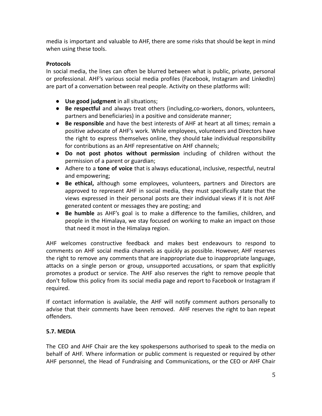media is important and valuable to AHF, there are some risks that should be kept in mind when using these tools.

#### **Protocols**

In social media, the lines can often be blurred between what is public, private, personal or professional. AHF's various social media profiles (Facebook, Instagram and LinkedIn) are part of a conversation between real people. Activity on these platforms will:

- **● Use good judgment** in all situations;
- **Be respectful** and always treat others (including,co-workers, donors, volunteers, partners and beneficiaries) in a positive and considerate manner;
- **Be responsible** and have the best interests of AHF at heart at all times; remain a positive advocate of AHF's work. While employees, volunteers and Directors have the right to express themselves online, they should take individual responsibility for contributions as an AHF representative on AHF channels;
- **Do not post photos without permission** including of children without the permission of a parent or guardian;
- Adhere to a **tone of voice** that is always educational, inclusive, respectful, neutral and empowering;
- **● Be ethical,** although some employees, volunteers, partners and Directors are approved to represent AHF in social media, they must specifically state that the views expressed in their personal posts are their individual views if it is not AHF generated content or messages they are posting; and
- **● Be humble** as AHF's goal is to make a difference to the families, children, and people in the Himalaya, we stay focused on working to make an impact on those that need it most in the Himalaya region.

AHF welcomes constructive feedback and makes best endeavours to respond to comments on AHF social media channels as quickly as possible. However, AHF reserves the right to remove any comments that are inappropriate due to inappropriate language, attacks on a single person or group, unsupported accusations, or spam that explicitly promotes a product or service. The AHF also reserves the right to remove people that don't follow this policy from its social media page and report to Facebook or Instagram if required.

If contact information is available, the AHF will notify comment authors personally to advise that their comments have been removed. AHF reserves the right to ban repeat offenders.

#### **5.7. MEDIA**

The CEO and AHF Chair are the key spokespersons authorised to speak to the media on behalf of AHF. Where information or public comment is requested or required by other AHF personnel, the Head of Fundraising and Communications, or the CEO or AHF Chair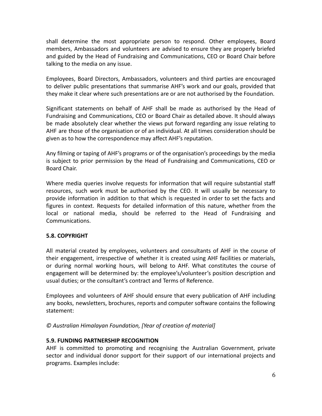shall determine the most appropriate person to respond. Other employees, Board members, Ambassadors and volunteers are advised to ensure they are properly briefed and guided by the Head of Fundraising and Communications, CEO or Board Chair before talking to the media on any issue.

Employees, Board Directors, Ambassadors, volunteers and third parties are encouraged to deliver public presentations that summarise AHF's work and our goals, provided that they make it clear where such presentations are or are not authorised by the Foundation.

Significant statements on behalf of AHF shall be made as authorised by the Head of Fundraising and Communications, CEO or Board Chair as detailed above. It should always be made absolutely clear whether the views put forward regarding any issue relating to AHF are those of the organisation or of an individual. At all times consideration should be given as to how the correspondence may affect AHF's reputation.

Any filming or taping of AHF's programs or of the organisation's proceedings by the media is subject to prior permission by the Head of Fundraising and Communications, CEO or Board Chair.

Where media queries involve requests for information that will require substantial staff resources, such work must be authorised by the CEO. It will usually be necessary to provide information in addition to that which is requested in order to set the facts and figures in context. Requests for detailed information of this nature, whether from the local or national media, should be referred to the Head of Fundraising and Communications.

#### **5.8. COPYRIGHT**

All material created by employees, volunteers and consultants of AHF in the course of their engagement, irrespective of whether it is created using AHF facilities or materials, or during normal working hours, will belong to AHF. What constitutes the course of engagement will be determined by: the employee's/volunteer's position description and usual duties; or the consultant's contract and Terms of Reference.

Employees and volunteers of AHF should ensure that every publication of AHF including any books, newsletters, brochures, reports and computer software contains the following statement:

#### *© Australian Himalayan Foundation, [Year of creation of material]*

#### **5.9. FUNDING PARTNERSHIP RECOGNITION**

AHF is committed to promoting and recognising the Australian Government, private sector and individual donor support for their support of our international projects and programs. Examples include: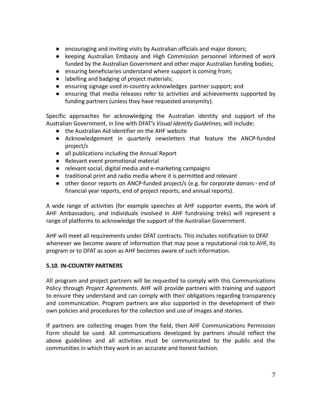- encouraging and inviting visits by Australian officials and major donors;
- keeping Australian Embassy and High Commission personnel informed of work funded by the Australian Government and other major Australian funding bodies;
- ensuring beneficiaries understand where support is coming from;
- labelling and badging of project materials;
- ensuring signage used in-country acknowledges partner support; and
- ensuring that media releases refer to activities and achievements supported by funding partners (unless they have requested anonymity).

Specific approaches for acknowledging the Australian identity and support of the Australian Government, in line with DFAT's *Visual Identity Guidelines*, will include:

- the Australian Aid identifier on the AHF website
- Acknowledgement in quarterly newsletters that feature the ANCP-funded project/s
- all publications including the Annual Report
- Relevant event promotional material
- relevant social, digital media and e-marketing campaigns
- traditional print and radio media where it is permitted and relevant
- other donor reports on ANCP-funded project/s (e.g. for corporate donors end of financial year reports, end of project reports, and annual reports).

A wide range of activities (for example speeches at AHF supporter events, the work of AHF Ambassadors, and individuals involved in AHF fundraising treks) will represent a range of platforms to acknowledge the support of the Australian Government.

AHF will meet all requirements under DFAT contracts. This includes notification to DFAT whenever we become aware of information that may pose a reputational risk to AHF, its program or to DFAT as soon as AHF becomes aware of such information.

#### **5.10**. **IN-COUNTRY PARTNERS**

All program and project partners will be requested to comply with this Communications Policy through *Project Agreements.* AHF will provide partners with training and support to ensure they understand and can comply with their obligations regarding transparency and communication. Program partners are also supported in the development of their own policies and procedures for the collection and use of images and stories.

If partners are collecting images from the field, then AHF Communications Permission Form should be used. All communications developed by partners should reflect the above guidelines and all activities must be communicated to the public and the communities in which they work in an accurate and honest fashion.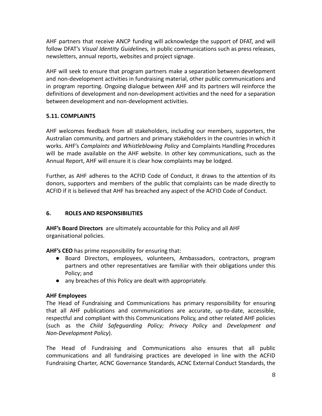AHF partners that receive ANCP funding will acknowledge the support of DFAT, and will follow DFAT's *Visual Identity Guidelines,* in public communications such as press releases, newsletters, annual reports, websites and project signage.

AHF will seek to ensure that program partners make a separation between development and non-development activities in fundraising material, other public communications and in program reporting. Ongoing dialogue between AHF and its partners will reinforce the definitions of development and non-development activities and the need for a separation between development and non-development activities.

#### **5.11. COMPLAINTS**

AHF welcomes feedback from all stakeholders, including our members, supporters, the Australian community, and partners and primary stakeholders in the countries in which it works. AHF's *Complaints and Whistleblowing Policy* and Complaints Handling Procedures will be made available on the AHF website. In other key communications, such as the Annual Report, AHF will ensure it is clear how complaints may be lodged.

Further, as AHF adheres to the ACFID Code of Conduct, it draws to the attention of its donors, supporters and members of the public that complaints can be made directly to ACFID if it is believed that AHF has breached any aspect of the ACFID Code of Conduct.

#### **6. ROLES AND RESPONSIBILITIES**

**AHF's Board Directors** are ultimately accountable for this Policy and all AHF organisational policies.

**AHF's CEO** has prime responsibility for ensuring that:

- Board Directors, employees, volunteers, Ambassadors, contractors, program partners and other representatives are familiar with their obligations under this Policy; and
- any breaches of this Policy are dealt with appropriately.

#### **AHF Employees**

The Head of Fundraising and Communications has primary responsibility for ensuring that all AHF publications and communications are accurate, up-to-date, accessible, respectful and compliant with this Communications Policy, and other related AHF policies (such as the *Child Safeguarding Policy; Privacy Policy* and *Development and Non-Development Policy*).

The Head of Fundraising and Communications also ensures that all public communications and all fundraising practices are developed in line with the ACFID Fundraising Charter, ACNC Governance Standards, ACNC External Conduct Standards, the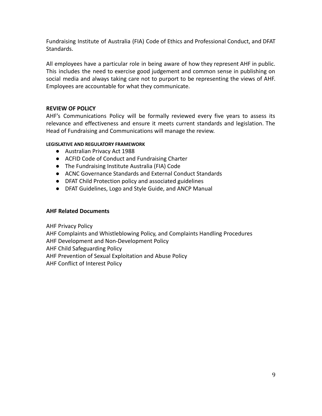Fundraising Institute of Australia (FIA) Code of Ethics and Professional Conduct, and DFAT Standards.

All employees have a particular role in being aware of how they represent AHF in public. This includes the need to exercise good judgement and common sense in publishing on social media and always taking care not to purport to be representing the views of AHF. Employees are accountable for what they communicate.

#### **REVIEW OF POLICY**

AHF's Communications Policy will be formally reviewed every five years to assess its relevance and effectiveness and ensure it meets current standards and legislation. The Head of Fundraising and Communications will manage the review.

#### **LEGISLATIVE AND REGULATORY FRAMEWORK**

- Australian Privacy Act 1988
- ACFID Code of Conduct and Fundraising Charter
- The Fundraising Institute Australia (FIA) Code
- ACNC Governance Standards and External Conduct Standards
- DFAT Child Protection policy and associated guidelines
- DFAT Guidelines, Logo and Style Guide, and ANCP Manual

#### **AHF Related Documents**

AHF Privacy Policy

AHF Complaints and Whistleblowing Policy, and Complaints Handling Procedures

AHF Development and Non-Development Policy

AHF Child Safeguarding Policy

AHF Prevention of Sexual Exploitation and Abuse Policy

AHF Conflict of Interest Policy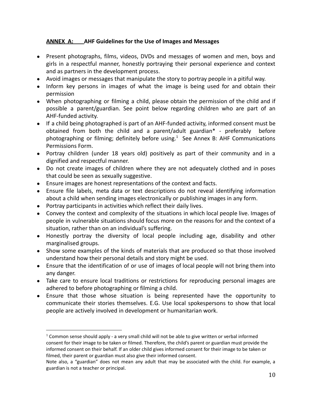#### **ANNEX A: AHF Guidelines for the Use of Images and Messages**

- **●** Present photographs, films, videos, DVDs and messages of women and men, boys and girls in a respectful manner, honestly portraying their personal experience and context and as partners in the development process.
- Avoid images or messages that manipulate the story to portray people in a pitiful way.
- Inform key persons in images of what the image is being used for and obtain their permission
- When photographing or filming a child, please obtain the permission of the child and if possible a parent/guardian. See point below regarding children who are part of an AHF-funded activity.
- If a child being photographed is part of an AHF-funded activity, informed consent must be obtained from both the child and a parent/adult guardian\* - preferably before photographing or filming; definitely before using. $1$  See Annex B: AHF Communications Permissions Form.
- Portray children (under 18 years old) positively as part of their community and in a dignified and respectful manner.
- Do not create images of children where they are not adequately clothed and in poses that could be seen as sexually suggestive.
- Ensure images are honest representations of the context and facts.
- Ensure file labels, meta data or text descriptions do not reveal identifying information about a child when sending images electronically or publishing images in any form.
- Portray participants in activities which reflect their daily lives.
- Convey the context and complexity of the situations in which local people live. Images of people in vulnerable situations should focus more on the reasons for and the context of a situation, rather than on an individual's suffering.
- Honestly portray the diversity of local people including age, disability and other marginalised groups.
- Show some examples of the kinds of materials that are produced so that those involved understand how their personal details and story might be used.
- Ensure that the identification of or use of images of local people will not bring them into any danger.
- Take care to ensure local traditions or restrictions for reproducing personal images are adhered to before photographing or filming a child.
- Ensure that those whose situation is being represented have the opportunity to communicate their stories themselves. E.G. Use local spokespersons to show that local people are actively involved in development or humanitarian work.

 $1$  Common sense should apply - a very small child will not be able to give written or verbal informed consent for their image to be taken or filmed. Therefore, the child's parent or guardian must provide the informed consent on their behalf. If an older child gives informed consent for their image to be taken or filmed, their parent or guardian must also give their informed consent.

Note also, a "guardian" does not mean any adult that may be associated with the child. For example, a guardian is not a teacher or principal.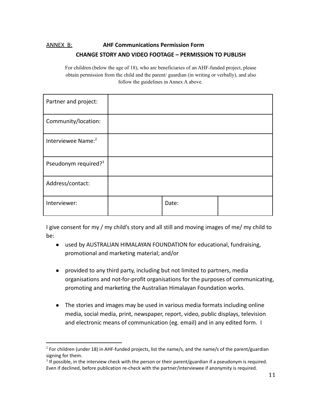### ANNEX B: **AHF Communications Permission Form CHANGE STORY AND VIDEO FOOTAGE – PERMISSION TO PUBLISH**

For children (below the age of 18), who are beneficiaries of an AHF-funded project, please obtain permission from the child and the parent/ guardian (in writing or verbally), and also follow the guidelines in Annex A above.

| Partner and project:             |       |  |
|----------------------------------|-------|--|
| Community/location:              |       |  |
| Interviewee Name: <sup>2</sup>   |       |  |
| Pseudonym required? <sup>3</sup> |       |  |
| Address/contact:                 |       |  |
| Interviewer:                     | Date: |  |

I give consent for my / my child's story and all still and moving images of me/ my child to be:

- used by AUSTRALIAN HIMALAYAN FOUNDATION for educational, fundraising, promotional and marketing material; and/or
- provided to any third party, including but not limited to partners, media organisations and not-for-profit organisations for the purposes of communicating, promoting and marketing the Australian Himalayan Foundation works.
- The stories and images may be used in various media formats including online media, social media, print, newspaper, report, video, public displays, television and electronic means of communication (eg. email) and in any edited form. I

 $2$  For children (under 18) in AHF-funded projects, list the name/s, and the name/s of the parent/guardian signing for them.

 $3$  If possible, in the interview check with the person or their parent/guardian if a pseudonym is required. Even if declined, before publication re-check with the partner/interviewee if anonymity is required.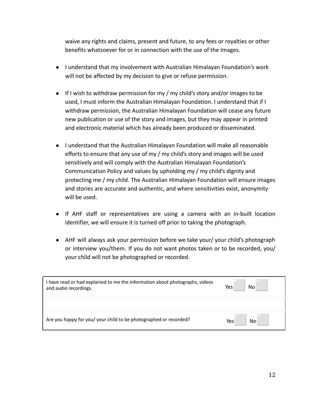waive any rights and claims, present and future, to any fees or royalties or other benefits whatsoever for or in connection with the use of the Images.

- I understand that my involvement with Australian Himalayan Foundation's work will not be affected by my decision to give or refuse permission.
- If I wish to withdraw permission for my / my child's story and/or images to be used, I must inform the Australian Himalayan Foundation. I understand that if I withdraw permission, the Australian Himalayan Foundation will cease any future new publication or use of the story and images, but they may appear in printed and electronic material which has already been produced or disseminated.
- I understand that the Australian Himalayan Foundation will make all reasonable efforts to ensure that any use of my / my child's story and images will be used sensitively and will comply with the Australian Himalayan Foundation's Communication Policy and values by upholding my / my child's dignity and protecting me / my child. The Australian Himalayan Foundation will ensure images and stories are accurate and authentic, and where sensitivities exist, anonymity will be used.
- If AHF staff or representatives are using a camera with an in-built location identifier, we will ensure it is turned off prior to taking the photograph.
- AHF will always ask your permission before we take your/ your child's photograph or interview you/them. If you do not want photos taken or to be recorded, you/ your child will not be photographed or recorded.

| have read or had explained to me the information about photographs, videos<br>and audio recordings. | No<br>Yes |
|-----------------------------------------------------------------------------------------------------|-----------|
|                                                                                                     |           |
| Are you happy for you/ your child to be photographed or recorded?                                   | Yes<br>No |